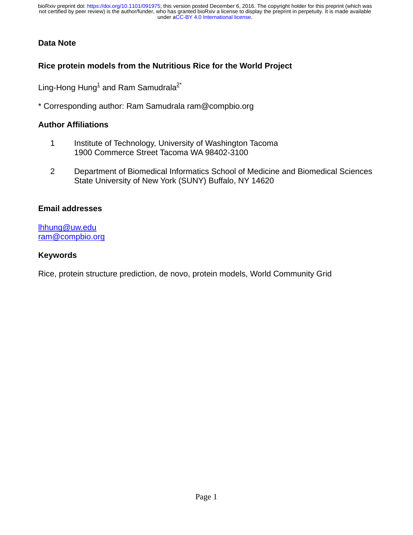## **Data Note**

## **Rice protein models from the Nutritious Rice for the World Project**

Ling-Hong Hung<sup>1</sup> and Ram Samudrala<sup>2\*</sup>

\* Corresponding author: Ram Samudrala ram@compbio.org

## **Author Affiliations**

- 1 Institute of Technology, University of Washington Tacoma 1900 Commerce Street Tacoma WA 98402-3100
- 2 Department of Biomedical Informatics School of Medicine and Biomedical Sciences State University of New York (SUNY) Buffalo, NY 14620

## **Email addresses**

[lhhung@uw.edu](mailto:lhhung@uw.edu) [ram@compbio.org](mailto:ram@compbio.org)

## **Keywords**

Rice, protein structure prediction, de novo, protein models, World Community Grid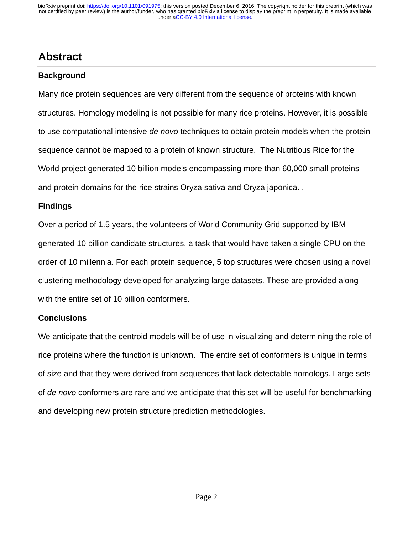# **Abstract**

## **Background**

Many rice protein sequences are very different from the sequence of proteins with known structures. Homology modeling is not possible for many rice proteins. However, it is possible to use computational intensive *de novo* techniques to obtain protein models when the protein sequence cannot be mapped to a protein of known structure. The Nutritious Rice for the World project generated 10 billion models encompassing more than 60,000 small proteins and protein domains for the rice strains Oryza sativa and Oryza japonica. .

## **Findings**

Over a period of 1.5 years, the volunteers of World Community Grid supported by IBM generated 10 billion candidate structures, a task that would have taken a single CPU on the order of 10 millennia. For each protein sequence, 5 top structures were chosen using a novel clustering methodology developed for analyzing large datasets. These are provided along with the entire set of 10 billion conformers.

## **Conclusions**

We anticipate that the centroid models will be of use in visualizing and determining the role of rice proteins where the function is unknown. The entire set of conformers is unique in terms of size and that they were derived from sequences that lack detectable homologs. Large sets of *de novo* conformers are rare and we anticipate that this set will be useful for benchmarking and developing new protein structure prediction methodologies.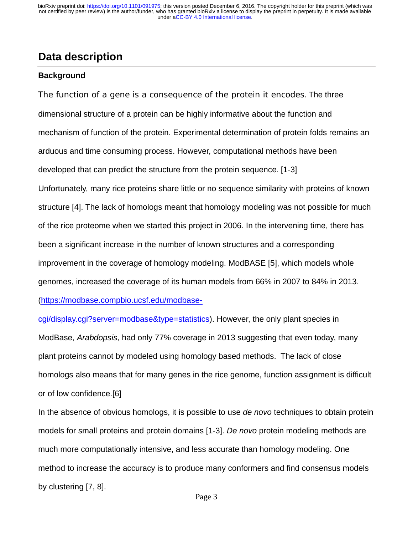## **Data description**

## **Background**

The function of a gene is a consequence of the protein it encodes. The three dimensional structure of a protein can be highly informative about the function and mechanism of function of the protein. Experimental determination of protein folds remains an arduous and time consuming process. However, computational methods have been developed that can predict the structure from the protein sequence. [1-3] Unfortunately, many rice proteins share little or no sequence similarity with proteins of known structure [4]. The lack of homologs meant that homology modeling was not possible for much of the rice proteome when we started this project in 2006. In the intervening time, there has been a significant increase in the number of known structures and a corresponding improvement in the coverage of homology modeling. ModBASE [5], which models whole genomes, increased the coverage of its human models from 66% in 2007 to 84% in 2013. [\(https://modbase.compbio.ucsf.edu/modbase-](https://modbase.compbio.ucsf.edu/modbase-cgi/display.cgi?server=modbase&type=statistics)

[cgi/display.cgi?server=modbase&type=statistics\)](https://modbase.compbio.ucsf.edu/modbase-cgi/display.cgi?server=modbase&type=statistics). However, the only plant species in ModBase, *Arabdopsis*, had only 77% coverage in 2013 suggesting that even today, many plant proteins cannot by modeled using homology based methods. The lack of close homologs also means that for many genes in the rice genome, function assignment is difficult or of low confidence.[6]

In the absence of obvious homologs, it is possible to use *de novo* techniques to obtain protein models for small proteins and protein domains [1-3]. *De novo* protein modeling methods are much more computationally intensive, and less accurate than homology modeling. One method to increase the accuracy is to produce many conformers and find consensus models by clustering [7, 8].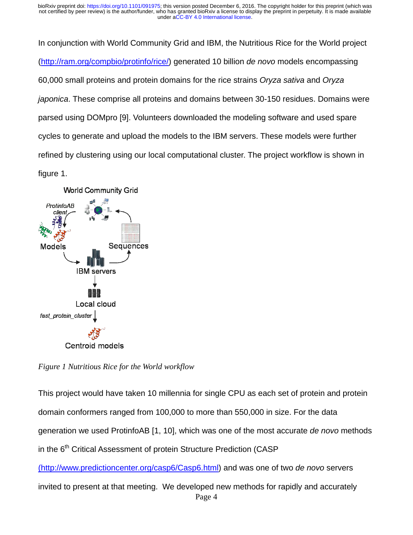In conjunction with World Community Grid and IBM, the Nutritious Rice for the World project [\(http://ram.org/compbio/protinfo/rice/\)](http://ram.org/compbio/protinfo/rice/) generated 10 billion *de novo* models encompassing 60,000 small proteins and protein domains for the rice strains *Oryza sativa* and *Oryza japonica*. These comprise all proteins and domains between 30-150 residues. Domains were parsed using DOMpro [9]. Volunteers downloaded the modeling software and used spare cycles to generate and upload the models to the IBM servers. These models were further refined by clustering using our local computational cluster. The project workflow is shown in figure 1.



*Figure 1 Nutritious Rice for the World workflow* 

This project would have taken 10 millennia for single CPU as each set of protein and protein domain conformers ranged from 100,000 to more than 550,000 in size. For the data generation we used ProtinfoAB [1, 10], which was one of the most accurate *de novo* methods in the 6<sup>th</sup> Critical Assessment of protein Structure Prediction (CASP)

(http://www.predictioncenter.org/casp6/Casp6.html) and was one of two *de novo* servers

invited to present at that meeting. We developed new methods for rapidly and accurately Page 4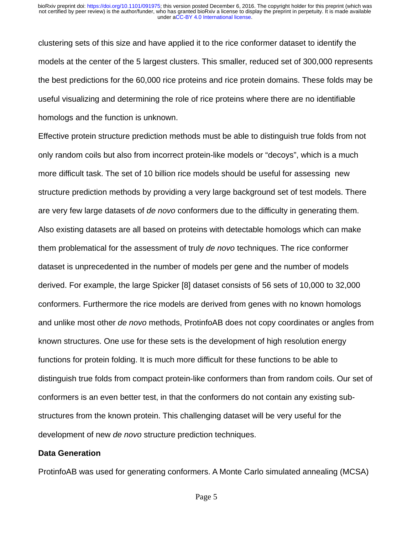clustering sets of this size and have applied it to the rice conformer dataset to identify the models at the center of the 5 largest clusters. This smaller, reduced set of 300,000 represents the best predictions for the 60,000 rice proteins and rice protein domains. These folds may be useful visualizing and determining the role of rice proteins where there are no identifiable homologs and the function is unknown.

Effective protein structure prediction methods must be able to distinguish true folds from not only random coils but also from incorrect protein-like models or "decoys", which is a much more difficult task. The set of 10 billion rice models should be useful for assessing new structure prediction methods by providing a very large background set of test models. There are very few large datasets of *de novo* conformers due to the difficulty in generating them. Also existing datasets are all based on proteins with detectable homologs which can make them problematical for the assessment of truly *de novo* techniques. The rice conformer dataset is unprecedented in the number of models per gene and the number of models derived. For example, the large Spicker [8] dataset consists of 56 sets of 10,000 to 32,000 conformers. Furthermore the rice models are derived from genes with no known homologs and unlike most other *de novo* methods, ProtinfoAB does not copy coordinates or angles from known structures. One use for these sets is the development of high resolution energy functions for protein folding. It is much more difficult for these functions to be able to distinguish true folds from compact protein-like conformers than from random coils. Our set of conformers is an even better test, in that the conformers do not contain any existing substructures from the known protein. This challenging dataset will be very useful for the development of new *de novo* structure prediction techniques.

#### **Data Generation**

ProtinfoAB was used for generating conformers. A Monte Carlo simulated annealing (MCSA)

Page 5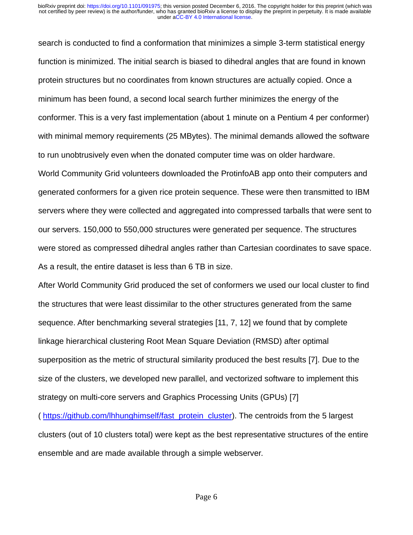search is conducted to find a conformation that minimizes a simple 3-term statistical energy function is minimized. The initial search is biased to dihedral angles that are found in known protein structures but no coordinates from known structures are actually copied. Once a minimum has been found, a second local search further minimizes the energy of the conformer. This is a very fast implementation (about 1 minute on a Pentium 4 per conformer) with minimal memory requirements (25 MBytes). The minimal demands allowed the software to run unobtrusively even when the donated computer time was on older hardware.

World Community Grid volunteers downloaded the ProtinfoAB app onto their computers and generated conformers for a given rice protein sequence. These were then transmitted to IBM servers where they were collected and aggregated into compressed tarballs that were sent to our servers. 150,000 to 550,000 structures were generated per sequence. The structures were stored as compressed dihedral angles rather than Cartesian coordinates to save space. As a result, the entire dataset is less than 6 TB in size.

After World Community Grid produced the set of conformers we used our local cluster to find the structures that were least dissimilar to the other structures generated from the same sequence. After benchmarking several strategies [11, 7, 12] we found that by complete linkage hierarchical clustering Root Mean Square Deviation (RMSD) after optimal superposition as the metric of structural similarity produced the best results [7]. Due to the size of the clusters, we developed new parallel, and vectorized software to implement this strategy on multi-core servers and Graphics Processing Units (GPUs) [7]

( [https://github.com/lhhunghimself/fast\\_protein\\_cluster\)](https://github.com/lhhunghimself/fast_protein_cluster). The centroids from the 5 largest clusters (out of 10 clusters total) were kept as the best representative structures of the entire ensemble and are made available through a simple webserver.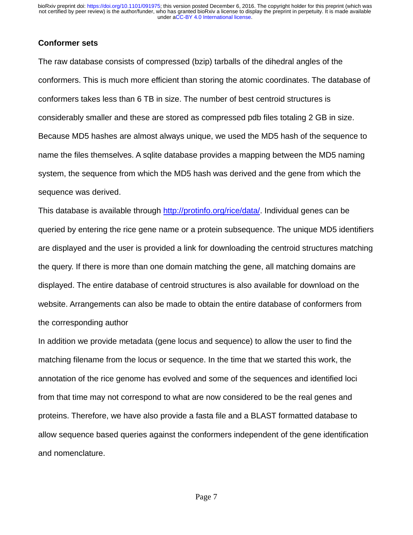### **Conformer sets**

The raw database consists of compressed (bzip) tarballs of the dihedral angles of the conformers. This is much more efficient than storing the atomic coordinates. The database of conformers takes less than 6 TB in size. The number of best centroid structures is considerably smaller and these are stored as compressed pdb files totaling 2 GB in size. Because MD5 hashes are almost always unique, we used the MD5 hash of the sequence to name the files themselves. A sqlite database provides a mapping between the MD5 naming system, the sequence from which the MD5 hash was derived and the gene from which the sequence was derived.

This database is available through [http://protinfo.org/rice/data/.](http://protinfo.org/rice/data/) Individual genes can be queried by entering the rice gene name or a protein subsequence. The unique MD5 identifiers are displayed and the user is provided a link for downloading the centroid structures matching the query. If there is more than one domain matching the gene, all matching domains are displayed. The entire database of centroid structures is also available for download on the website. Arrangements can also be made to obtain the entire database of conformers from the corresponding author

In addition we provide metadata (gene locus and sequence) to allow the user to find the matching filename from the locus or sequence. In the time that we started this work, the annotation of the rice genome has evolved and some of the sequences and identified loci from that time may not correspond to what are now considered to be the real genes and proteins. Therefore, we have also provide a fasta file and a BLAST formatted database to allow sequence based queries against the conformers independent of the gene identification and nomenclature.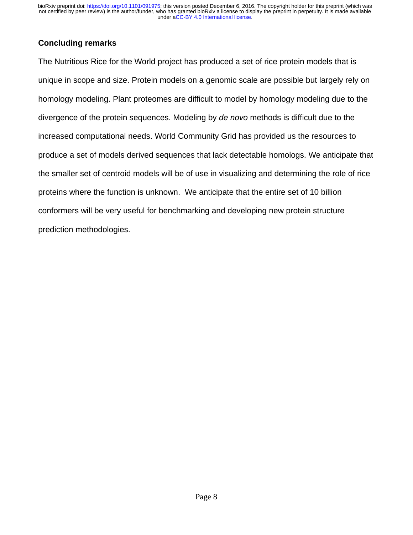## **Concluding remarks**

The Nutritious Rice for the World project has produced a set of rice protein models that is unique in scope and size. Protein models on a genomic scale are possible but largely rely on homology modeling. Plant proteomes are difficult to model by homology modeling due to the divergence of the protein sequences. Modeling by *de novo* methods is difficult due to the increased computational needs. World Community Grid has provided us the resources to produce a set of models derived sequences that lack detectable homologs. We anticipate that the smaller set of centroid models will be of use in visualizing and determining the role of rice proteins where the function is unknown. We anticipate that the entire set of 10 billion conformers will be very useful for benchmarking and developing new protein structure prediction methodologies.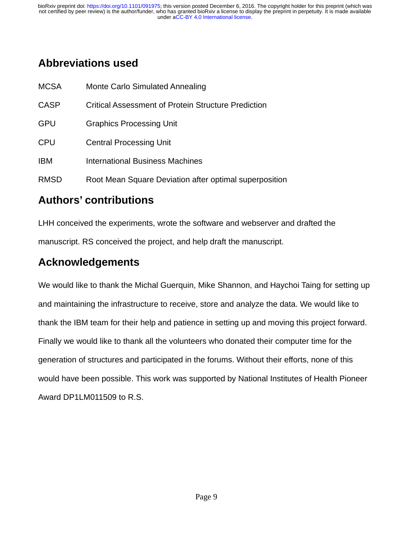# **Abbreviations used**

| <b>MCSA</b> | <b>Monte Carlo Simulated Annealing</b>                     |
|-------------|------------------------------------------------------------|
| <b>CASP</b> | <b>Critical Assessment of Protein Structure Prediction</b> |
| <b>GPU</b>  | <b>Graphics Processing Unit</b>                            |
| <b>CPU</b>  | <b>Central Processing Unit</b>                             |
| <b>IBM</b>  | International Business Machines                            |
| <b>RMSD</b> | Root Mean Square Deviation after optimal superposition     |

# **Authors' contributions**

LHH conceived the experiments, wrote the software and webserver and drafted the manuscript. RS conceived the project, and help draft the manuscript.

# **Acknowledgements**

We would like to thank the Michal Guerquin, Mike Shannon, and Haychoi Taing for setting up and maintaining the infrastructure to receive, store and analyze the data. We would like to thank the IBM team for their help and patience in setting up and moving this project forward. Finally we would like to thank all the volunteers who donated their computer time for the generation of structures and participated in the forums. Without their efforts, none of this would have been possible. This work was supported by National Institutes of Health Pioneer Award DP1LM011509 to R.S.